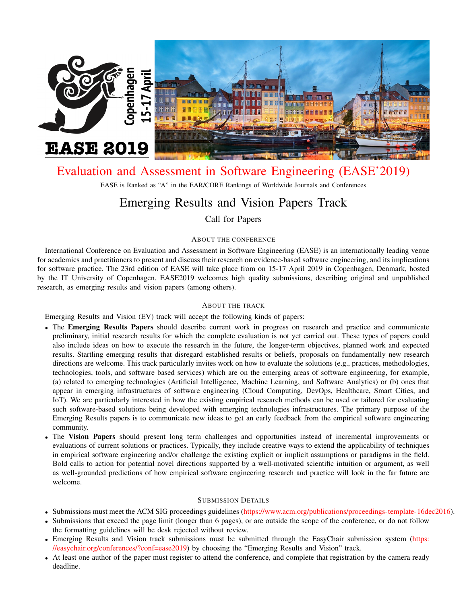

# [Evaluation and Assessment in Software Engineering \(EASE'2019\)](http://ease2019.org)

EASE is Ranked as "A" in the EAR/CORE Rankings of Worldwide Journals and Conferences

# Emerging Results and Vision Papers Track

Call for Papers

# ABOUT THE CONFERENCE

International Conference on Evaluation and Assessment in Software Engineering (EASE) is an internationally leading venue for academics and practitioners to present and discuss their research on evidence-based software engineering, and its implications for software practice. The 23rd edition of EASE will take place from on 15-17 April 2019 in Copenhagen, Denmark, hosted by the IT University of Copenhagen. EASE2019 welcomes high quality submissions, describing original and unpublished research, as emerging results and vision papers (among others).

## ABOUT THE TRACK

Emerging Results and Vision (EV) track will accept the following kinds of papers:

- The Emerging Results Papers should describe current work in progress on research and practice and communicate preliminary, initial research results for which the complete evaluation is not yet carried out. These types of papers could also include ideas on how to execute the research in the future, the longer-term objectives, planned work and expected results. Startling emerging results that disregard established results or beliefs, proposals on fundamentally new research directions are welcome. This track particularly invites work on how to evaluate the solutions (e.g., practices, methodologies, technologies, tools, and software based services) which are on the emerging areas of software engineering, for example, (a) related to emerging technologies (Artificial Intelligence, Machine Learning, and Software Analytics) or (b) ones that appear in emerging infrastructures of software engineering (Cloud Computing, DevOps, Healthcare, Smart Cities, and IoT). We are particularly interested in how the existing empirical research methods can be used or tailored for evaluating such software-based solutions being developed with emerging technologies infrastructures. The primary purpose of the Emerging Results papers is to communicate new ideas to get an early feedback from the empirical software engineering community.
- The Vision Papers should present long term challenges and opportunities instead of incremental improvements or evaluations of current solutions or practices. Typically, they include creative ways to extend the applicability of techniques in empirical software engineering and/or challenge the existing explicit or implicit assumptions or paradigms in the field. Bold calls to action for potential novel directions supported by a well-motivated scientific intuition or argument, as well as well-grounded predictions of how empirical software engineering research and practice will look in the far future are welcome.

## SUBMISSION DETAILS

- Submissions must meet the ACM SIG proceedings guidelines [\(https://www.acm.org/publications/proceedings-template-16dec2016\)](https://www.acm.org/publications/proceedings-template-16dec2016).
- Submissions that exceed the page limit (longer than 6 pages), or are outside the scope of the conference, or do not follow the formatting guidelines will be desk rejected without review.
- Emerging Results and Vision track submissions must be submitted through the EasyChair submission system [\(https:](https://easychair.org/conferences/?conf=ease2019) [//easychair.org/conferences/?conf=ease2019\)](https://easychair.org/conferences/?conf=ease2019) by choosing the "Emerging Results and Vision" track.
- At least one author of the paper must register to attend the conference, and complete that registration by the camera ready deadline.